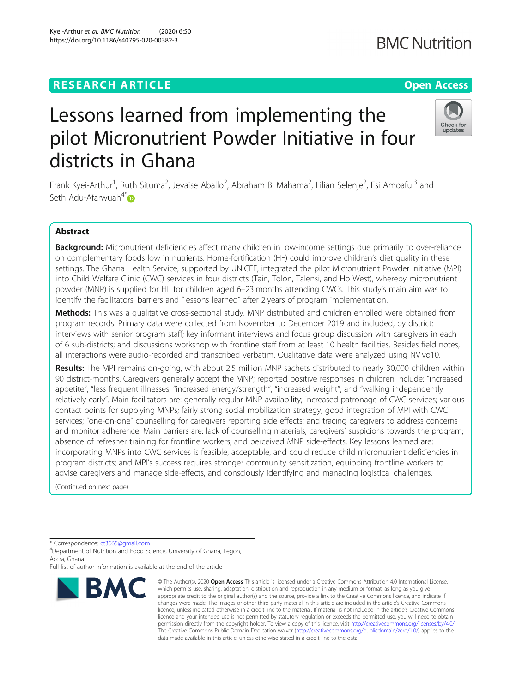# **RESEARCH ARTICLE Example 2014 12:30 The Contract of Contract ACCESS**

# Lessons learned from implementing the pilot Micronutrient Powder Initiative in four districts in Ghana

Frank Kyei-Arthur<sup>1</sup>, Ruth Situma<sup>2</sup>, Jevaise Aballo<sup>2</sup>, Abraham B. Mahama<sup>2</sup>, Lilian Selenje<sup>2</sup>, Esi Amoaful<sup>3</sup> and Seth Adu-Afarwuah<sup>4[\\*](http://orcid.org/0000-0002-2720-5474)</sup>

# Abstract

Background: Micronutrient deficiencies affect many children in low-income settings due primarily to over-reliance on complementary foods low in nutrients. Home-fortification (HF) could improve children's diet quality in these settings. The Ghana Health Service, supported by UNICEF, integrated the pilot Micronutrient Powder Initiative (MPI) into Child Welfare Clinic (CWC) services in four districts (Tain, Tolon, Talensi, and Ho West), whereby micronutrient powder (MNP) is supplied for HF for children aged 6–23 months attending CWCs. This study's main aim was to identify the facilitators, barriers and "lessons learned" after 2 years of program implementation.

Methods: This was a qualitative cross-sectional study. MNP distributed and children enrolled were obtained from program records. Primary data were collected from November to December 2019 and included, by district: interviews with senior program staff; key informant interviews and focus group discussion with caregivers in each of 6 sub-districts; and discussions workshop with frontline staff from at least 10 health facilities. Besides field notes, all interactions were audio-recorded and transcribed verbatim. Qualitative data were analyzed using NVivo10.

Results: The MPI remains on-going, with about 2.5 million MNP sachets distributed to nearly 30,000 children within 90 district-months. Caregivers generally accept the MNP; reported positive responses in children include: "increased appetite", "less frequent illnesses, "increased energy/strength", "increased weight", and "walking independently relatively early". Main facilitators are: generally regular MNP availability; increased patronage of CWC services; various contact points for supplying MNPs; fairly strong social mobilization strategy; good integration of MPI with CWC services; "one-on-one" counselling for caregivers reporting side effects; and tracing caregivers to address concerns and monitor adherence. Main barriers are: lack of counselling materials; caregivers' suspicions towards the program; absence of refresher training for frontline workers; and perceived MNP side-effects. Key lessons learned are: incorporating MNPs into CWC services is feasible, acceptable, and could reduce child micronutrient deficiencies in program districts; and MPI's success requires stronger community sensitization, equipping frontline workers to advise caregivers and manage side-effects, and consciously identifying and managing logistical challenges.

(Continued on next page)

\* Correspondence: [ct3665@gmail.com](mailto:ct3665@gmail.com) <sup>4</sup>

<sup>4</sup>Department of Nutrition and Food Science, University of Ghana, Legon, Accra, Ghana

Full list of author information is available at the end of the article

**BMC** 



<sup>©</sup> The Author(s), 2020 **Open Access** This article is licensed under a Creative Commons Attribution 4.0 International License, which permits use, sharing, adaptation, distribution and reproduction in any medium or format, as long as you give appropriate credit to the original author(s) and the source, provide a link to the Creative Commons licence, and indicate if changes were made. The images or other third party material in this article are included in the article's Creative Commons licence, unless indicated otherwise in a credit line to the material. If material is not included in the article's Creative Commons licence and your intended use is not permitted by statutory regulation or exceeds the permitted use, you will need to obtain permission directly from the copyright holder. To view a copy of this licence, visit [http://creativecommons.org/licenses/by/4.0/.](http://creativecommons.org/licenses/by/4.0/) The Creative Commons Public Domain Dedication waiver [\(http://creativecommons.org/publicdomain/zero/1.0/](http://creativecommons.org/publicdomain/zero/1.0/)) applies to the data made available in this article, unless otherwise stated in a credit line to the data.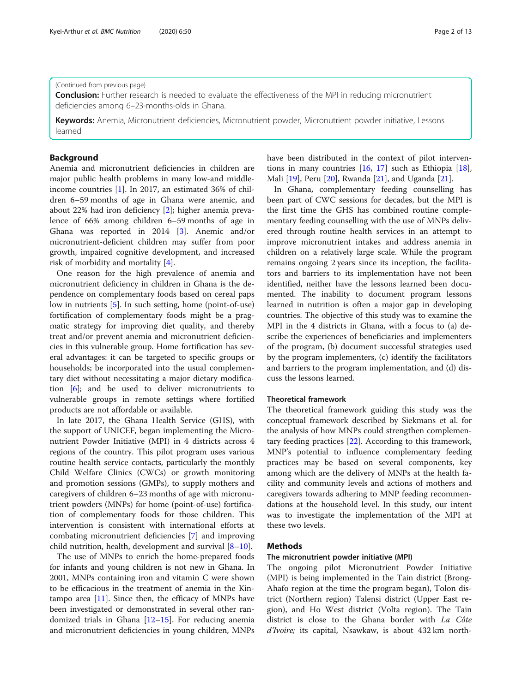#### (Continued from previous page)

**Conclusion:** Further research is needed to evaluate the effectiveness of the MPI in reducing micronutrient deficiencies among 6–23-months-olds in Ghana.

Keywords: Anemia, Micronutrient deficiencies, Micronutrient powder, Micronutrient powder initiative, Lessons learned

# Background

Anemia and micronutrient deficiencies in children are major public health problems in many low-and middleincome countries [\[1](#page-11-0)]. In 2017, an estimated 36% of children 6–59 months of age in Ghana were anemic, and about 22% had iron deficiency [[2\]](#page-11-0); higher anemia prevalence of 66% among children 6–59 months of age in Ghana was reported in 2014 [[3\]](#page-11-0). Anemic and/or micronutrient-deficient children may suffer from poor growth, impaired cognitive development, and increased risk of morbidity and mortality [[4\]](#page-11-0).

One reason for the high prevalence of anemia and micronutrient deficiency in children in Ghana is the dependence on complementary foods based on cereal paps low in nutrients [[5](#page-11-0)]. In such setting, home (point-of-use) fortification of complementary foods might be a pragmatic strategy for improving diet quality, and thereby treat and/or prevent anemia and micronutrient deficiencies in this vulnerable group. Home fortification has several advantages: it can be targeted to specific groups or households; be incorporated into the usual complementary diet without necessitating a major dietary modification [\[6](#page-11-0)]; and be used to deliver micronutrients to vulnerable groups in remote settings where fortified products are not affordable or available.

In late 2017, the Ghana Health Service (GHS), with the support of UNICEF, began implementing the Micronutrient Powder Initiative (MPI) in 4 districts across 4 regions of the country. This pilot program uses various routine health service contacts, particularly the monthly Child Welfare Clinics (CWCs) or growth monitoring and promotion sessions (GMPs), to supply mothers and caregivers of children 6–23 months of age with micronutrient powders (MNPs) for home (point-of-use) fortification of complementary foods for those children. This intervention is consistent with international efforts at combating micronutrient deficiencies [\[7\]](#page-11-0) and improving child nutrition, health, development and survival [\[8](#page-11-0)–[10\]](#page-11-0).

The use of MNPs to enrich the home-prepared foods for infants and young children is not new in Ghana. In 2001, MNPs containing iron and vitamin C were shown to be efficacious in the treatment of anemia in the Kintampo area  $[11]$  $[11]$  $[11]$ . Since then, the efficacy of MNPs have been investigated or demonstrated in several other randomized trials in Ghana [\[12](#page-11-0)–[15](#page-11-0)]. For reducing anemia and micronutrient deficiencies in young children, MNPs have been distributed in the context of pilot interventions in many countries [\[16,](#page-11-0) [17](#page-11-0)] such as Ethiopia [\[18](#page-11-0)], Mali [\[19](#page-11-0)], Peru [[20](#page-11-0)], Rwanda [\[21\]](#page-11-0), and Uganda [\[21](#page-11-0)].

In Ghana, complementary feeding counselling has been part of CWC sessions for decades, but the MPI is the first time the GHS has combined routine complementary feeding counselling with the use of MNPs delivered through routine health services in an attempt to improve micronutrient intakes and address anemia in children on a relatively large scale. While the program remains ongoing 2 years since its inception, the facilitators and barriers to its implementation have not been identified, neither have the lessons learned been documented. The inability to document program lessons learned in nutrition is often a major gap in developing countries. The objective of this study was to examine the MPI in the 4 districts in Ghana, with a focus to (a) describe the experiences of beneficiaries and implementers of the program, (b) document successful strategies used by the program implementers, (c) identify the facilitators and barriers to the program implementation, and (d) discuss the lessons learned.

# Theoretical framework

The theoretical framework guiding this study was the conceptual framework described by Siekmans et al. for the analysis of how MNPs could strengthen complementary feeding practices [[22\]](#page-11-0). According to this framework, MNP's potential to influence complementary feeding practices may be based on several components, key among which are the delivery of MNPs at the health facility and community levels and actions of mothers and caregivers towards adhering to MNP feeding recommendations at the household level. In this study, our intent was to investigate the implementation of the MPI at these two levels.

#### Methods

# The micronutrient powder initiative (MPI)

The ongoing pilot Micronutrient Powder Initiative (MPI) is being implemented in the Tain district (Brong-Ahafo region at the time the program began), Tolon district (Northern region) Talensi district (Upper East region), and Ho West district (Volta region). The Tain district is close to the Ghana border with La Côte d'Ivoire; its capital, Nsawkaw, is about 432 km north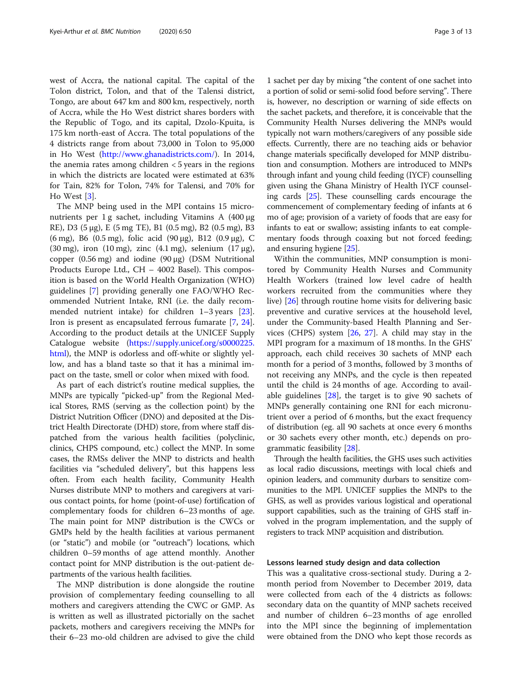west of Accra, the national capital. The capital of the Tolon district, Tolon, and that of the Talensi district, Tongo, are about 647 km and 800 km, respectively, north of Accra, while the Ho West district shares borders with the Republic of Togo, and its capital, Dzolo-Kpuita, is 175 km north-east of Accra. The total populations of the 4 districts range from about 73,000 in Tolon to 95,000 in Ho West [\(http://www.ghanadistricts.com/](http://www.ghanadistricts.com/)). In 2014, the anemia rates among children  $<$  5 years in the regions in which the districts are located were estimated at 63% for Tain, 82% for Tolon, 74% for Talensi, and 70% for Ho West [[3\]](#page-11-0).

The MNP being used in the MPI contains 15 micronutrients per 1 g sachet, including Vitamins A (400 μg RE), D3 (5 μg), E (5 mg TE), B1 (0.5 mg), B2 (0.5 mg), B3 (6 mg), B6 (0.5 mg), folic acid (90 μg), B12 (0.9 μg), C (30 mg), iron (10 mg), zinc (4.1 mg), selenium (17 μg), copper (0.56 mg) and iodine (90 μg) (DSM Nutritional Products Europe Ltd., CH – 4002 Basel). This composition is based on the World Health Organization (WHO) guidelines [[7\]](#page-11-0) providing generally one FAO/WHO Recommended Nutrient Intake, RNI (i.e. the daily recommended nutrient intake) for children 1–3 years [\[23](#page-11-0)]. Iron is present as encapsulated ferrous fumarate [[7,](#page-11-0) [24](#page-11-0)]. According to the product details at the UNICEF Supply Catalogue website [\(https://supply.unicef.org/s0000225.](https://supply.unicef.org/s0000225.html) [html\)](https://supply.unicef.org/s0000225.html), the MNP is odorless and off-white or slightly yellow, and has a bland taste so that it has a minimal impact on the taste, smell or color when mixed with food.

As part of each district's routine medical supplies, the MNPs are typically "picked-up" from the Regional Medical Stores, RMS (serving as the collection point) by the District Nutrition Officer (DNO) and deposited at the District Health Directorate (DHD) store, from where staff dispatched from the various health facilities (polyclinic, clinics, CHPS compound, etc.) collect the MNP. In some cases, the RMSs deliver the MNP to districts and health facilities via "scheduled delivery", but this happens less often. From each health facility, Community Health Nurses distribute MNP to mothers and caregivers at various contact points, for home (point-of-use) fortification of complementary foods for children 6–23 months of age. The main point for MNP distribution is the CWCs or GMPs held by the health facilities at various permanent (or "static") and mobile (or "outreach") locations, which children 0–59 months of age attend monthly. Another contact point for MNP distribution is the out-patient departments of the various health facilities.

The MNP distribution is done alongside the routine provision of complementary feeding counselling to all mothers and caregivers attending the CWC or GMP. As is written as well as illustrated pictorially on the sachet packets, mothers and caregivers receiving the MNPs for their 6–23 mo-old children are advised to give the child

1 sachet per day by mixing "the content of one sachet into a portion of solid or semi-solid food before serving". There is, however, no description or warning of side effects on the sachet packets, and therefore, it is conceivable that the Community Health Nurses delivering the MNPs would typically not warn mothers/caregivers of any possible side effects. Currently, there are no teaching aids or behavior change materials specifically developed for MNP distribution and consumption. Mothers are introduced to MNPs through infant and young child feeding (IYCF) counselling given using the Ghana Ministry of Health IYCF counseling cards [\[25\]](#page-11-0). These counselling cards encourage the commencement of complementary feeding of infants at 6 mo of age; provision of a variety of foods that are easy for infants to eat or swallow; assisting infants to eat complementary foods through coaxing but not forced feeding; and ensuring hygiene [[25](#page-11-0)].

Within the communities, MNP consumption is monitored by Community Health Nurses and Community Health Workers (trained low level cadre of health workers recruited from the communities where they live) [[26\]](#page-11-0) through routine home visits for delivering basic preventive and curative services at the household level, under the Community-based Health Planning and Services (CHPS) system [[26](#page-11-0), [27\]](#page-11-0). A child may stay in the MPI program for a maximum of 18 months. In the GHS' approach, each child receives 30 sachets of MNP each month for a period of 3 months, followed by 3 months of not receiving any MNPs, and the cycle is then repeated until the child is 24 months of age. According to available guidelines [\[28\]](#page-11-0), the target is to give 90 sachets of MNPs generally containing one RNI for each micronutrient over a period of 6 months, but the exact frequency of distribution (eg. all 90 sachets at once every 6 months or 30 sachets every other month, etc.) depends on programmatic feasibility [[28\]](#page-11-0).

Through the health facilities, the GHS uses such activities as local radio discussions, meetings with local chiefs and opinion leaders, and community durbars to sensitize communities to the MPI. UNICEF supplies the MNPs to the GHS, as well as provides various logistical and operational support capabilities, such as the training of GHS staff involved in the program implementation, and the supply of registers to track MNP acquisition and distribution.

# Lessons learned study design and data collection

This was a qualitative cross-sectional study. During a 2 month period from November to December 2019, data were collected from each of the 4 districts as follows: secondary data on the quantity of MNP sachets received and number of children 6–23 months of age enrolled into the MPI since the beginning of implementation were obtained from the DNO who kept those records as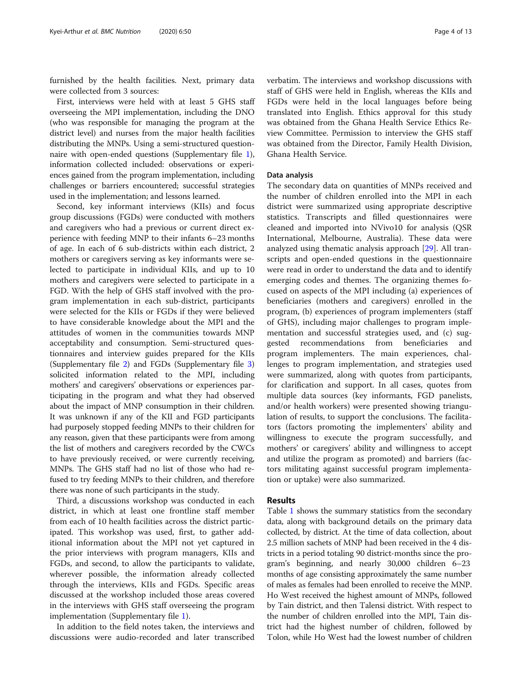furnished by the health facilities. Next, primary data were collected from 3 sources:

First, interviews were held with at least 5 GHS staff overseeing the MPI implementation, including the DNO (who was responsible for managing the program at the district level) and nurses from the major health facilities distributing the MNPs. Using a semi-structured questionnaire with open-ended questions (Supplementary file [1](#page-10-0)), information collected included: observations or experiences gained from the program implementation, including challenges or barriers encountered; successful strategies used in the implementation; and lessons learned.

Second, key informant interviews (KIIs) and focus group discussions (FGDs) were conducted with mothers and caregivers who had a previous or current direct experience with feeding MNP to their infants 6–23 months of age. In each of 6 sub-districts within each district, 2 mothers or caregivers serving as key informants were selected to participate in individual KIIs, and up to 10 mothers and caregivers were selected to participate in a FGD. With the help of GHS staff involved with the program implementation in each sub-district, participants were selected for the KIIs or FGDs if they were believed to have considerable knowledge about the MPI and the attitudes of women in the communities towards MNP acceptability and consumption. Semi-structured questionnaires and interview guides prepared for the KIIs (Supplementary file [2](#page-10-0)) and FGDs (Supplementary file [3](#page-10-0)) solicited information related to the MPI, including mothers' and caregivers' observations or experiences participating in the program and what they had observed about the impact of MNP consumption in their children. It was unknown if any of the KII and FGD participants had purposely stopped feeding MNPs to their children for any reason, given that these participants were from among the list of mothers and caregivers recorded by the CWCs to have previously received, or were currently receiving, MNPs. The GHS staff had no list of those who had refused to try feeding MNPs to their children, and therefore there was none of such participants in the study.

Third, a discussions workshop was conducted in each district, in which at least one frontline staff member from each of 10 health facilities across the district participated. This workshop was used, first, to gather additional information about the MPI not yet captured in the prior interviews with program managers, KIIs and FGDs, and second, to allow the participants to validate, wherever possible, the information already collected through the interviews, KIIs and FGDs. Specific areas discussed at the workshop included those areas covered in the interviews with GHS staff overseeing the program implementation (Supplementary file [1](#page-10-0)).

In addition to the field notes taken, the interviews and discussions were audio-recorded and later transcribed verbatim. The interviews and workshop discussions with staff of GHS were held in English, whereas the KIIs and FGDs were held in the local languages before being translated into English. Ethics approval for this study was obtained from the Ghana Health Service Ethics Review Committee. Permission to interview the GHS staff was obtained from the Director, Family Health Division, Ghana Health Service.

# Data analysis

The secondary data on quantities of MNPs received and the number of children enrolled into the MPI in each district were summarized using appropriate descriptive statistics. Transcripts and filled questionnaires were cleaned and imported into NVivo10 for analysis (QSR International, Melbourne, Australia). These data were analyzed using thematic analysis approach [[29\]](#page-12-0). All transcripts and open-ended questions in the questionnaire were read in order to understand the data and to identify emerging codes and themes. The organizing themes focused on aspects of the MPI including (a) experiences of beneficiaries (mothers and caregivers) enrolled in the program, (b) experiences of program implementers (staff of GHS), including major challenges to program implementation and successful strategies used, and (c) suggested recommendations from beneficiaries and program implementers. The main experiences, challenges to program implementation, and strategies used were summarized, along with quotes from participants, for clarification and support. In all cases, quotes from multiple data sources (key informants, FGD panelists, and/or health workers) were presented showing triangulation of results, to support the conclusions. The facilitators (factors promoting the implementers' ability and willingness to execute the program successfully, and mothers' or caregivers' ability and willingness to accept and utilize the program as promoted) and barriers (factors militating against successful program implementation or uptake) were also summarized.

# Results

Table [1](#page-4-0) shows the summary statistics from the secondary data, along with background details on the primary data collected, by district. At the time of data collection, about 2.5 million sachets of MNP had been received in the 4 districts in a period totaling 90 district-months since the program's beginning, and nearly 30,000 children 6–23 months of age consisting approximately the same number of males as females had been enrolled to receive the MNP. Ho West received the highest amount of MNPs, followed by Tain district, and then Talensi district. With respect to the number of children enrolled into the MPI, Tain district had the highest number of children, followed by Tolon, while Ho West had the lowest number of children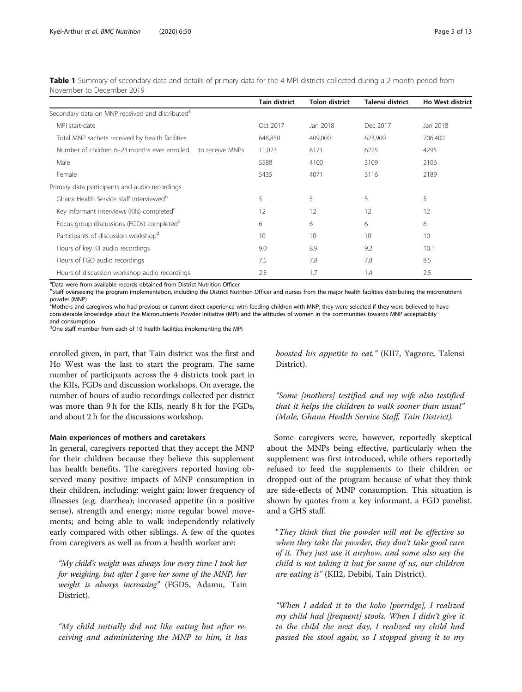<span id="page-4-0"></span>Table 1 Summary of secondary data and details of primary data for the 4 MPI districts collected during a 2-month period from November to December 2019

|                                                                 | Tain district | Tolon district | Talensi district | Ho West district |
|-----------------------------------------------------------------|---------------|----------------|------------------|------------------|
| Secondary data on MNP received and distributed <sup>a</sup>     |               |                |                  |                  |
| MPI start-date                                                  | Oct 2017      | Jan 2018       | Dec 2017         | Jan 2018         |
| Total MNP sachets received by health facilities                 | 648,850       | 409,000        | 623,900          | 706,400          |
| Number of children 6-23 months ever enrolled<br>to receive MNPs | 11,023        | 8171           | 6225             | 4295             |
| Male                                                            | 5588          | 4100           | 3109             | 2106             |
| Female                                                          | 5435          | 4071           | 3116             | 2189             |
| Primary data participants and audio recordings                  |               |                |                  |                  |
| Ghana Health Service staff interviewed <sup>b</sup>             | 5             | 5              | 5                | 5                |
| Key informant interviews (KIIs) completed <sup>c</sup>          | 12            | 12             | 12               | 12               |
| Focus group discussions (FGDs) completed <sup>c</sup>           | 6             | 6              | 6                | 6                |
| Participants of discussion workshop <sup>d</sup>                | 10            | 10             | 10               | 10               |
| Hours of key KII audio recordings                               | 9.0           | 8.9            | 9.2              | 10.1             |
| Hours of FGD audio recordings                                   | 7.5           | 7.8            | 7.8              | 8.5              |
| Hours of discussion workshop audio recordings                   | 2.3           | 1.7            | 1.4              | 2.5              |

<sup>a</sup>Data were from available records obtained from District Nutrition Officer

**EStaff overseeing the program implementation, including the District Nutrition Officer and nurses from the major health facilities distributing the micronutrient** powder (MNP)

.<br><sup>C</sup>Mothers and caregivers who had previous or current direct experience with feeding children with MNP; they were selected if they were believed to have considerable knowledge about the Micronutrients Powder Initiative (MPI) and the attitudes of women in the communities towards MNP acceptability and consumption

dOne staff member from each of 10 health facilities implementing the MPI

enrolled given, in part, that Tain district was the first and Ho West was the last to start the program. The same number of participants across the 4 districts took part in the KIIs, FGDs and discussion workshops. On average, the number of hours of audio recordings collected per district was more than 9 h for the KIIs, nearly 8 h for the FGDs, and about 2 h for the discussions workshop.

#### Main experiences of mothers and caretakers

In general, caregivers reported that they accept the MNP for their children because they believe this supplement has health benefits. The caregivers reported having observed many positive impacts of MNP consumption in their children, including: weight gain; lower frequency of illnesses (e.g. diarrhea); increased appetite (in a positive sense), strength and energy; more regular bowel movements; and being able to walk independently relatively early compared with other siblings. A few of the quotes from caregivers as well as from a health worker are:

"My child's weight was always low every time I took her for weighing, but after I gave her some of the MNP, her weight is always increasing" (FGD5, Adamu, Tain District).

"My child initially did not like eating but after receiving and administering the MNP to him, it has boosted his appetite to eat." (KII7, Yagzore, Talensi District).

"Some [mothers] testified and my wife also testified that it helps the children to walk sooner than usual" (Male, Ghana Health Service Staff, Tain District).

Some caregivers were, however, reportedly skeptical about the MNPs being effective, particularly when the supplement was first introduced, while others reportedly refused to feed the supplements to their children or dropped out of the program because of what they think are side-effects of MNP consumption. This situation is shown by quotes from a key informant, a FGD panelist, and a GHS staff.

"They think that the powder will not be effective so when they take the powder, they don't take good care of it. They just use it anyhow, and some also say the child is not taking it but for some of us, our children are eating it" (KII2, Debibi, Tain District).

"When I added it to the koko [porridge], I realized my child had [frequent] stools. When I didn't give it to the child the next day, I realized my child had passed the stool again, so I stopped giving it to my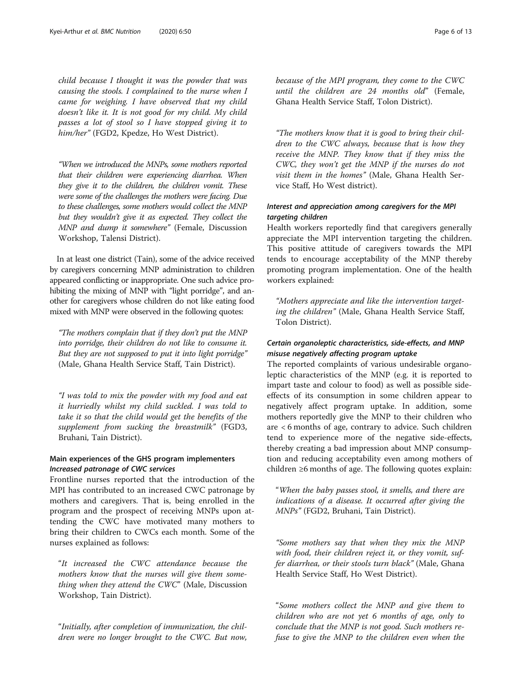child because I thought it was the powder that was causing the stools. I complained to the nurse when I came for weighing. I have observed that my child doesn't like it. It is not good for my child. My child passes a lot of stool so I have stopped giving it to him/her" (FGD2, Kpedze, Ho West District).

"When we introduced the MNPs, some mothers reported that their children were experiencing diarrhea. When they give it to the children, the children vomit. These were some of the challenges the mothers were facing. Due to these challenges, some mothers would collect the MNP but they wouldn't give it as expected. They collect the MNP and dump it somewhere" (Female, Discussion Workshop, Talensi District).

In at least one district (Tain), some of the advice received by caregivers concerning MNP administration to children appeared conflicting or inappropriate. One such advice prohibiting the mixing of MNP with "light porridge", and another for caregivers whose children do not like eating food mixed with MNP were observed in the following quotes:

"The mothers complain that if they don't put the MNP into porridge, their children do not like to consume it. But they are not supposed to put it into light porridge" (Male, Ghana Health Service Staff, Tain District).

"I was told to mix the powder with my food and eat it hurriedly whilst my child suckled. I was told to take it so that the child would get the benefits of the supplement from sucking the breastmilk" (FGD3, Bruhani, Tain District).

# Main experiences of the GHS program implementers Increased patronage of CWC services

Frontline nurses reported that the introduction of the MPI has contributed to an increased CWC patronage by mothers and caregivers. That is, being enrolled in the program and the prospect of receiving MNPs upon attending the CWC have motivated many mothers to bring their children to CWCs each month. Some of the nurses explained as follows:

"It increased the CWC attendance because the mothers know that the nurses will give them something when they attend the CWC" (Male, Discussion Workshop, Tain District).

"Initially, after completion of immunization, the children were no longer brought to the CWC. But now,

"The mothers know that it is good to bring their children to the CWC always, because that is how they receive the MNP. They know that if they miss the CWC, they won't get the MNP if the nurses do not visit them in the homes" (Male, Ghana Health Service Staff, Ho West district).

Ghana Health Service Staff, Tolon District).

# Interest and appreciation among caregivers for the MPI targeting children

Health workers reportedly find that caregivers generally appreciate the MPI intervention targeting the children. This positive attitude of caregivers towards the MPI tends to encourage acceptability of the MNP thereby promoting program implementation. One of the health workers explained:

"Mothers appreciate and like the intervention targeting the children" (Male, Ghana Health Service Staff, Tolon District).

# Certain organoleptic characteristics, side-effects, and MNP misuse negatively affecting program uptake

The reported complaints of various undesirable organoleptic characteristics of the MNP (e.g. it is reported to impart taste and colour to food) as well as possible sideeffects of its consumption in some children appear to negatively affect program uptake. In addition, some mothers reportedly give the MNP to their children who are < 6 months of age, contrary to advice. Such children tend to experience more of the negative side-effects, thereby creating a bad impression about MNP consumption and reducing acceptability even among mothers of children ≥6 months of age. The following quotes explain:

"When the baby passes stool, it smells, and there are indications of a disease. It occurred after giving the MNPs" (FGD2, Bruhani, Tain District).

"Some mothers say that when they mix the MNP with food, their children reject it, or they vomit, suffer diarrhea, or their stools turn black" (Male, Ghana Health Service Staff, Ho West District).

"Some mothers collect the MNP and give them to children who are not yet 6 months of age, only to conclude that the MNP is not good. Such mothers refuse to give the MNP to the children even when the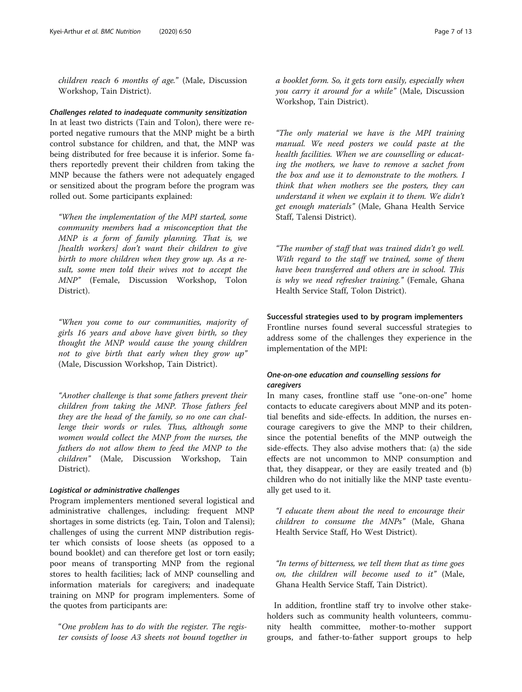children reach 6 months of age." (Male, Discussion Workshop, Tain District).

Challenges related to inadequate community sensitization In at least two districts (Tain and Tolon), there were reported negative rumours that the MNP might be a birth control substance for children, and that, the MNP was being distributed for free because it is inferior. Some fathers reportedly prevent their children from taking the MNP because the fathers were not adequately engaged or sensitized about the program before the program was rolled out. Some participants explained:

"When the implementation of the MPI started, some community members had a misconception that the MNP is a form of family planning. That is, we [health workers] don't want their children to give birth to more children when they grow up. As a result, some men told their wives not to accept the MNP" (Female, Discussion Workshop, Tolon District).

"When you come to our communities, majority of girls 16 years and above have given birth, so they thought the MNP would cause the young children not to give birth that early when they grow up" (Male, Discussion Workshop, Tain District).

"Another challenge is that some fathers prevent their children from taking the MNP. Those fathers feel they are the head of the family, so no one can challenge their words or rules. Thus, although some women would collect the MNP from the nurses, the fathers do not allow them to feed the MNP to the children" (Male, Discussion Workshop, Tain District).

# Logistical or administrative challenges

Program implementers mentioned several logistical and administrative challenges, including: frequent MNP shortages in some districts (eg. Tain, Tolon and Talensi); challenges of using the current MNP distribution register which consists of loose sheets (as opposed to a bound booklet) and can therefore get lost or torn easily; poor means of transporting MNP from the regional stores to health facilities; lack of MNP counselling and information materials for caregivers; and inadequate training on MNP for program implementers. Some of the quotes from participants are:

"One problem has to do with the register. The register consists of loose A3 sheets not bound together in

"The only material we have is the MPI training manual. We need posters we could paste at the health facilities. When we are counselling or educating the mothers, we have to remove a sachet from the box and use it to demonstrate to the mothers. I think that when mothers see the posters, they can understand it when we explain it to them. We didn't get enough materials" (Male, Ghana Health Service Staff, Talensi District).

"The number of staff that was trained didn't go well. With regard to the staff we trained, some of them have been transferred and others are in school. This is why we need refresher training." (Female, Ghana Health Service Staff, Tolon District).

# Successful strategies used to by program implementers

Frontline nurses found several successful strategies to address some of the challenges they experience in the implementation of the MPI:

# One-on-one education and counselling sessions for caregivers

In many cases, frontline staff use "one-on-one" home contacts to educate caregivers about MNP and its potential benefits and side-effects. In addition, the nurses encourage caregivers to give the MNP to their children, since the potential benefits of the MNP outweigh the side-effects. They also advise mothers that: (a) the side effects are not uncommon to MNP consumption and that, they disappear, or they are easily treated and (b) children who do not initially like the MNP taste eventually get used to it.

"I educate them about the need to encourage their children to consume the MNPs" (Male, Ghana Health Service Staff, Ho West District).

"In terms of bitterness, we tell them that as time goes on, the children will become used to it" (Male, Ghana Health Service Staff, Tain District).

In addition, frontline staff try to involve other stakeholders such as community health volunteers, community health committee, mother-to-mother support groups, and father-to-father support groups to help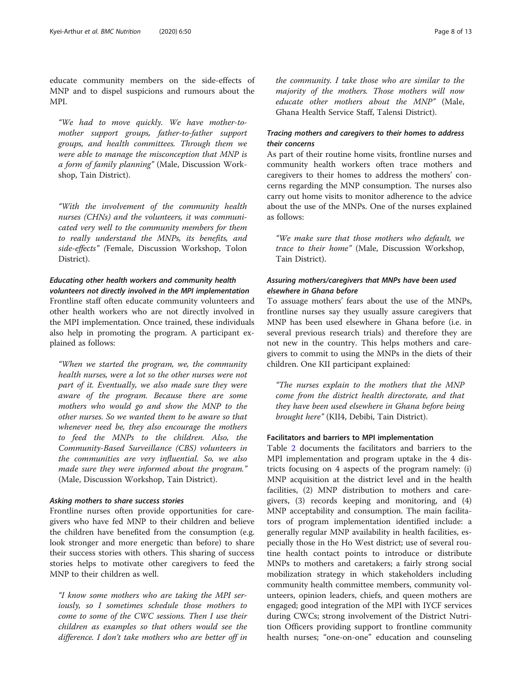educate community members on the side-effects of MNP and to dispel suspicions and rumours about the MPI.

"We had to move quickly. We have mother-tomother support groups, father-to-father support groups, and health committees. Through them we were able to manage the misconception that MNP is a form of family planning" (Male, Discussion Workshop, Tain District).

"With the involvement of the community health nurses (CHNs) and the volunteers, it was communicated very well to the community members for them to really understand the MNPs, its benefits, and side-effects" (Female, Discussion Workshop, Tolon District).

# Educating other health workers and community health volunteers not directly involved in the MPI implementation

Frontline staff often educate community volunteers and other health workers who are not directly involved in the MPI implementation. Once trained, these individuals also help in promoting the program. A participant explained as follows:

"When we started the program, we, the community health nurses, were a lot so the other nurses were not part of it. Eventually, we also made sure they were aware of the program. Because there are some mothers who would go and show the MNP to the other nurses. So we wanted them to be aware so that whenever need be, they also encourage the mothers to feed the MNPs to the children. Also, the Community-Based Surveillance (CBS) volunteers in the communities are very influential. So, we also made sure they were informed about the program." (Male, Discussion Workshop, Tain District).

# Asking mothers to share success stories

Frontline nurses often provide opportunities for caregivers who have fed MNP to their children and believe the children have benefited from the consumption (e.g. look stronger and more energetic than before) to share their success stories with others. This sharing of success stories helps to motivate other caregivers to feed the MNP to their children as well.

"I know some mothers who are taking the MPI seriously, so I sometimes schedule those mothers to come to some of the CWC sessions. Then I use their children as examples so that others would see the difference. I don't take mothers who are better off in

the community. I take those who are similar to the majority of the mothers. Those mothers will now educate other mothers about the MNP" (Male, Ghana Health Service Staff, Talensi District).

# Tracing mothers and caregivers to their homes to address their concerns

As part of their routine home visits, frontline nurses and community health workers often trace mothers and caregivers to their homes to address the mothers' concerns regarding the MNP consumption. The nurses also carry out home visits to monitor adherence to the advice about the use of the MNPs. One of the nurses explained as follows:

"We make sure that those mothers who default, we trace to their home" (Male, Discussion Workshop, Tain District).

# Assuring mothers/caregivers that MNPs have been used elsewhere in Ghana before

To assuage mothers' fears about the use of the MNPs, frontline nurses say they usually assure caregivers that MNP has been used elsewhere in Ghana before (i.e. in several previous research trials) and therefore they are not new in the country. This helps mothers and caregivers to commit to using the MNPs in the diets of their children. One KII participant explained:

"The nurses explain to the mothers that the MNP come from the district health directorate, and that they have been used elsewhere in Ghana before being brought here" (KII4, Debibi, Tain District).

#### Facilitators and barriers to MPI implementation

Table [2](#page-8-0) documents the facilitators and barriers to the MPI implementation and program uptake in the 4 districts focusing on 4 aspects of the program namely: (i) MNP acquisition at the district level and in the health facilities, (2) MNP distribution to mothers and caregivers, (3) records keeping and monitoring, and (4) MNP acceptability and consumption. The main facilitators of program implementation identified include: a generally regular MNP availability in health facilities, especially those in the Ho West district; use of several routine health contact points to introduce or distribute MNPs to mothers and caretakers; a fairly strong social mobilization strategy in which stakeholders including community health committee members, community volunteers, opinion leaders, chiefs, and queen mothers are engaged; good integration of the MPI with IYCF services during CWCs; strong involvement of the District Nutrition Officers providing support to frontline community health nurses; "one-on-one" education and counseling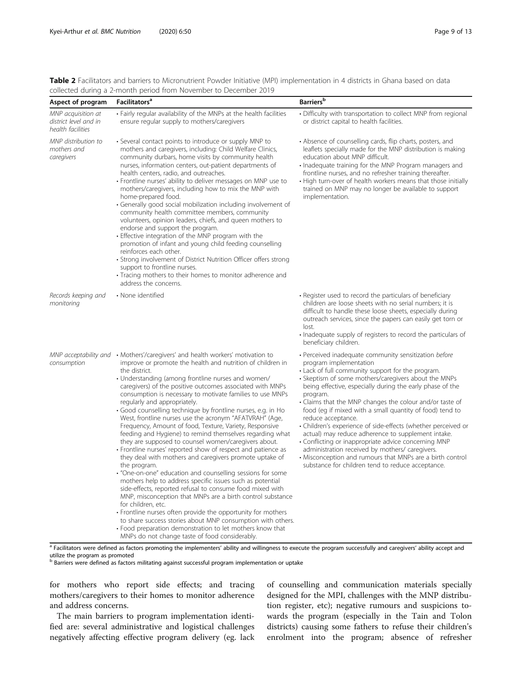| Aspect of program                                                | <b>Facilitators<sup>a</sup></b>                                                                                                                                                                                                                                                                                                                                                                                                                                                                                                                                                                                                                                                                                                                                                                                                                                                                                                                                                                                                                                                                                                                                                                                                                                                                                                                                      | <b>Barriers</b> <sup>b</sup>                                                                                                                                                                                                                                                                                                                                                                                                                                                                                                                                                                                                                                                                                                                                            |
|------------------------------------------------------------------|----------------------------------------------------------------------------------------------------------------------------------------------------------------------------------------------------------------------------------------------------------------------------------------------------------------------------------------------------------------------------------------------------------------------------------------------------------------------------------------------------------------------------------------------------------------------------------------------------------------------------------------------------------------------------------------------------------------------------------------------------------------------------------------------------------------------------------------------------------------------------------------------------------------------------------------------------------------------------------------------------------------------------------------------------------------------------------------------------------------------------------------------------------------------------------------------------------------------------------------------------------------------------------------------------------------------------------------------------------------------|-------------------------------------------------------------------------------------------------------------------------------------------------------------------------------------------------------------------------------------------------------------------------------------------------------------------------------------------------------------------------------------------------------------------------------------------------------------------------------------------------------------------------------------------------------------------------------------------------------------------------------------------------------------------------------------------------------------------------------------------------------------------------|
| MNP acquisition at<br>district level and in<br>health facilities | • Fairly regular availability of the MNPs at the health facilities<br>ensure regular supply to mothers/caregivers                                                                                                                                                                                                                                                                                                                                                                                                                                                                                                                                                                                                                                                                                                                                                                                                                                                                                                                                                                                                                                                                                                                                                                                                                                                    | • Difficulty with transportation to collect MNP from regional<br>or district capital to health facilities.                                                                                                                                                                                                                                                                                                                                                                                                                                                                                                                                                                                                                                                              |
| MNP distribution to<br>mothers and<br>caregivers                 | • Several contact points to introduce or supply MNP to<br>mothers and caregivers, including: Child Welfare Clinics,<br>community durbars, home visits by community health<br>nurses, information centers, out-patient departments of<br>health centers, radio, and outreaches.<br>• Frontline nurses' ability to deliver messages on MNP use to<br>mothers/caregivers, including how to mix the MNP with<br>home-prepared food.<br>• Generally good social mobilization including involvement of<br>community health committee members, community<br>volunteers, opinion leaders, chiefs, and queen mothers to<br>endorse and support the program.<br>• Effective integration of the MNP program with the<br>promotion of infant and young child feeding counselling<br>reinforces each other.<br>• Strong involvement of District Nutrition Officer offers strong<br>support to frontline nurses.<br>• Tracing mothers to their homes to monitor adherence and<br>address the concerns.                                                                                                                                                                                                                                                                                                                                                                             | • Absence of counselling cards, flip charts, posters, and<br>leaflets specially made for the MNP distribution is making<br>education about MNP difficult.<br>• Inadequate training for the MNP Program managers and<br>frontline nurses, and no refresher training thereafter.<br>• High turn-over of health workers means that those initially<br>trained on MNP may no longer be available to support<br>implementation.                                                                                                                                                                                                                                                                                                                                              |
| Records keeping and<br>monitoring                                | • None identified                                                                                                                                                                                                                                                                                                                                                                                                                                                                                                                                                                                                                                                                                                                                                                                                                                                                                                                                                                                                                                                                                                                                                                                                                                                                                                                                                    | • Register used to record the particulars of beneficiary<br>children are loose sheets with no serial numbers; it is<br>difficult to handle these loose sheets, especially during<br>outreach services, since the papers can easily get torn or<br>lost.<br>· Inadequate supply of registers to record the particulars of<br>beneficiary children.                                                                                                                                                                                                                                                                                                                                                                                                                       |
| consumption                                                      | $MNP$ acceptability and $\cdot$ Mothers'/caregivers' and health workers' motivation to<br>improve or promote the health and nutrition of children in<br>the district.<br>• Understanding (among frontline nurses and women/<br>caregivers) of the positive outcomes associated with MNPs<br>consumption is necessary to motivate families to use MNPs<br>regularly and appropriately.<br>· Good counselling technique by frontline nurses, e.g. in Ho<br>West, frontline nurses use the acronym "AFATVRAH" (Age,<br>Frequency, Amount of food, Texture, Variety, Responsive<br>feeding and Hygiene) to remind themselves regarding what<br>they are supposed to counsel women/caregivers about.<br>• Frontline nurses' reported show of respect and patience as<br>they deal with mothers and caregivers promote uptake of<br>the program.<br>· "One-on-one" education and counselling sessions for some<br>mothers help to address specific issues such as potential<br>side-effects, reported refusal to consume food mixed with<br>MNP, misconception that MNPs are a birth control substance<br>for children, etc.<br>• Frontline nurses often provide the opportunity for mothers<br>to share success stories about MNP consumption with others.<br>· Food preparation demonstration to let mothers know that<br>MNPs do not change taste of food considerably. | · Perceived inadequate community sensitization before<br>program implementation<br>• Lack of full community support for the program.<br>· Skeptism of some mothers/caregivers about the MNPs<br>being effective, especially during the early phase of the<br>program.<br>• Claims that the MNP changes the colour and/or taste of<br>food (eg if mixed with a small quantity of food) tend to<br>reduce acceptance.<br>• Children's experience of side-effects (whether perceived or<br>actual) may reduce adherence to supplement intake.<br>• Conflicting or inappropriate advice concerning MNP<br>administration received by mothers/ caregivers.<br>• Misconception and rumours that MNPs are a birth control<br>substance for children tend to reduce acceptance. |

<span id="page-8-0"></span>Table 2 Facilitators and barriers to Micronutrient Powder Initiative (MPI) implementation in 4 districts in Ghana based on data

utilize the program as promoted b Barriers were defined as factors militating against successful program implementation or uptake

for mothers who report side effects; and tracing mothers/caregivers to their homes to monitor adherence and address concerns.

The main barriers to program implementation identified are: several administrative and logistical challenges negatively affecting effective program delivery (eg. lack of counselling and communication materials specially designed for the MPI, challenges with the MNP distribution register, etc); negative rumours and suspicions towards the program (especially in the Tain and Tolon districts) causing some fathers to refuse their children's enrolment into the program; absence of refresher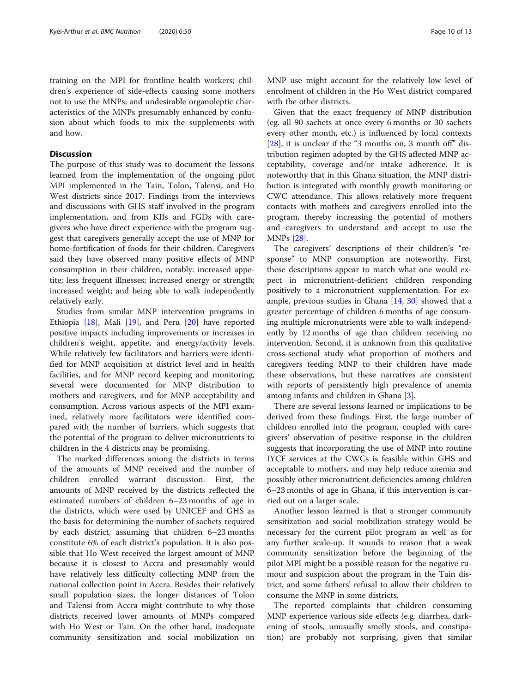training on the MPI for frontline health workers; children's experience of side-effects causing some mothers not to use the MNPs; and undesirable organoleptic characteristics of the MNPs presumably enhanced by confusion about which foods to mix the supplements with and how.

#### **Discussion**

The purpose of this study was to document the lessons learned from the implementation of the ongoing pilot MPI implemented in the Tain, Tolon, Talensi, and Ho West districts since 2017. Findings from the interviews and discussions with GHS staff involved in the program implementation, and from KIIs and FGDs with caregivers who have direct experience with the program suggest that caregivers generally accept the use of MNP for home-fortification of foods for their children. Caregivers said they have observed many positive effects of MNP consumption in their children, notably: increased appetite; less frequent illnesses; increased energy or strength; increased weight; and being able to walk independently relatively early.

Studies from similar MNP intervention programs in Ethiopia [[18\]](#page-11-0), Mali [\[19\]](#page-11-0), and Peru [[20\]](#page-11-0) have reported positive impacts including improvements or increases in children's weight, appetite, and energy/activity levels. While relatively few facilitators and barriers were identified for MNP acquisition at district level and in health facilities, and for MNP record keeping and monitoring, several were documented for MNP distribution to mothers and caregivers, and for MNP acceptability and consumption. Across various aspects of the MPI examined, relatively more facilitators were identified compared with the number of barriers, which suggests that the potential of the program to deliver micronutrients to children in the 4 districts may be promising.

The marked differences among the districts in terms of the amounts of MNP received and the number of children enrolled warrant discussion. First, the amounts of MNP received by the districts reflected the estimated numbers of children 6–23 months of age in the districts, which were used by UNICEF and GHS as the basis for determining the number of sachets required by each district, assuming that children 6–23 months constitute 6% of each district's population. It is also possible that Ho West received the largest amount of MNP because it is closest to Accra and presumably would have relatively less difficulty collecting MNP from the national collection point in Accra. Besides their relatively small population sizes, the longer distances of Tolon and Talensi from Accra might contribute to why those districts received lower amounts of MNPs compared with Ho West or Tain. On the other hand, inadequate community sensitization and social mobilization on MNP use might account for the relatively low level of enrolment of children in the Ho West district compared with the other districts.

Given that the exact frequency of MNP distribution (eg. all 90 sachets at once every 6 months or 30 sachets every other month, etc.) is influenced by local contexts [[28\]](#page-11-0), it is unclear if the "3 months on, 3 month off" distribution regimen adopted by the GHS affected MNP acceptability, coverage and/or intake adherence. It is noteworthy that in this Ghana situation, the MNP distribution is integrated with monthly growth monitoring or CWC attendance. This allows relatively more frequent contacts with mothers and caregivers enrolled into the program, thereby increasing the potential of mothers and caregivers to understand and accept to use the MNPs [[28\]](#page-11-0).

The caregivers' descriptions of their children's "response" to MNP consumption are noteworthy. First, these descriptions appear to match what one would expect in micronutrient-deficient children responding positively to a micronutrient supplementation. For example, previous studies in Ghana [\[14,](#page-11-0) [30](#page-12-0)] showed that a greater percentage of children 6 months of age consuming multiple micronutrients were able to walk independently by 12 months of age than children receiving no intervention. Second, it is unknown from this qualitative cross-sectional study what proportion of mothers and caregivers feeding MNP to their children have made these observations, but these narratives are consistent with reports of persistently high prevalence of anemia among infants and children in Ghana [\[3](#page-11-0)].

There are several lessons learned or implications to be derived from these findings. First, the large number of children enrolled into the program, coupled with caregivers' observation of positive response in the children suggests that incorporating the use of MNP into routine IYCF services at the CWCs is feasible within GHS and acceptable to mothers, and may help reduce anemia and possibly other micronutrient deficiencies among children 6–23 months of age in Ghana, if this intervention is carried out on a larger scale.

Another lesson learned is that a stronger community sensitization and social mobilization strategy would be necessary for the current pilot program as well as for any further scale-up. It sounds to reason that a weak community sensitization before the beginning of the pilot MPI might be a possible reason for the negative rumour and suspicion about the program in the Tain district, and some fathers' refusal to allow their children to consume the MNP in some districts.

The reported complaints that children consuming MNP experience various side effects (e.g. diarrhea, darkening of stools, unusually smelly stools, and constipation) are probably not surprising, given that similar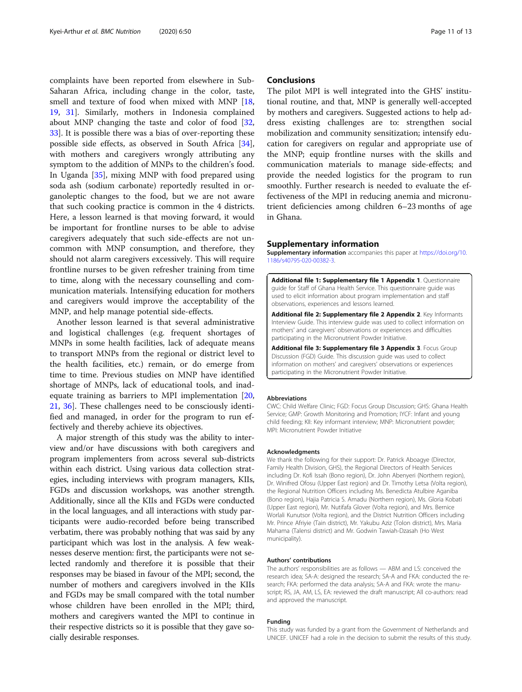<span id="page-10-0"></span>complaints have been reported from elsewhere in Sub-Saharan Africa, including change in the color, taste, smell and texture of food when mixed with MNP [[18](#page-11-0), [19,](#page-11-0) [31](#page-12-0)]. Similarly, mothers in Indonesia complained about MNP changing the taste and color of food [[32](#page-12-0), [33\]](#page-12-0). It is possible there was a bias of over-reporting these possible side effects, as observed in South Africa [\[34](#page-12-0)], with mothers and caregivers wrongly attributing any symptom to the addition of MNPs to the children's food. In Uganda [[35](#page-12-0)], mixing MNP with food prepared using soda ash (sodium carbonate) reportedly resulted in organoleptic changes to the food, but we are not aware that such cooking practice is common in the 4 districts. Here, a lesson learned is that moving forward, it would be important for frontline nurses to be able to advise caregivers adequately that such side-effects are not uncommon with MNP consumption, and therefore, they should not alarm caregivers excessively. This will require frontline nurses to be given refresher training from time to time, along with the necessary counselling and communication materials. Intensifying education for mothers and caregivers would improve the acceptability of the MNP, and help manage potential side-effects.

Another lesson learned is that several administrative and logistical challenges (e.g. frequent shortages of MNPs in some health facilities, lack of adequate means to transport MNPs from the regional or district level to the health facilities, etc.) remain, or do emerge from time to time. Previous studies on MNP have identified shortage of MNPs, lack of educational tools, and inadequate training as barriers to MPI implementation [[20](#page-11-0), [21,](#page-11-0) [36](#page-12-0)]. These challenges need to be consciously identified and managed, in order for the program to run effectively and thereby achieve its objectives.

A major strength of this study was the ability to interview and/or have discussions with both caregivers and program implementers from across several sub-districts within each district. Using various data collection strategies, including interviews with program managers, KIIs, FGDs and discussion workshops, was another strength. Additionally, since all the KIIs and FGDs were conducted in the local languages, and all interactions with study participants were audio-recorded before being transcribed verbatim, there was probably nothing that was said by any participant which was lost in the analysis. A few weaknesses deserve mention: first, the participants were not selected randomly and therefore it is possible that their responses may be biased in favour of the MPI; second, the number of mothers and caregivers involved in the KIIs and FGDs may be small compared with the total number whose children have been enrolled in the MPI; third, mothers and caregivers wanted the MPI to continue in their respective districts so it is possible that they gave socially desirable responses.

# **Conclusions**

The pilot MPI is well integrated into the GHS' institutional routine, and that, MNP is generally well-accepted by mothers and caregivers. Suggested actions to help address existing challenges are to: strengthen social mobilization and community sensitization; intensify education for caregivers on regular and appropriate use of the MNP; equip frontline nurses with the skills and communication materials to manage side-effects; and provide the needed logistics for the program to run smoothly. Further research is needed to evaluate the effectiveness of the MPI in reducing anemia and micronutrient deficiencies among children 6–23 months of age in Ghana.

#### Supplementary information

Supplementary information accompanies this paper at [https://doi.org/10.](https://doi.org/10.1186/s40795-020-00382-3) [1186/s40795-020-00382-3](https://doi.org/10.1186/s40795-020-00382-3).

Additional file 1: Supplementary file 1 Appendix 1. Questionnaire guide for Staff of Ghana Health Service. This questionnaire guide was used to elicit information about program implementation and staff observations, experiences and lessons learned.

Additional file 2: Supplementary file 2 Appendix 2. Key Informants Interview Guide. This interview guide was used to collect information on mothers' and caregivers' observations or experiences and difficulties participating in the Micronutrient Powder Initiative.

Additional file 3: Supplementary file 3 Appendix 3. Focus Group Discussion (FGD) Guide. This discussion guide was used to collect information on mothers' and caregivers' observations or experiences participating in the Micronutrient Powder Initiative.

#### Abbreviations

CWC: Child Welfare Clinic; FGD: Focus Group Discussion; GHS: Ghana Health Service; GMP: Growth Monitoring and Promotion; IYCF: Infant and young child feeding; KII: Key informant interview; MNP: Micronutrient powder; MPI: Micronutrient Powder Initiative

#### Acknowledgments

We thank the following for their support: Dr. Patrick Aboagye (Director, Family Health Division, GHS), the Regional Directors of Health Services including Dr. Kofi Issah (Bono region), Dr. John Abenyeri (Northern region), Dr. Winifred Ofosu (Upper East region) and Dr. Timothy Letsa (Volta region), the Regional Nutrition Officers including Ms. Benedicta Atulbire Aganiba (Bono region), Hajia Patricia S. Amadu (Northern region), Ms. Gloria Kobati (Upper East region), Mr. Nutifafa Glover (Volta region), and Mrs. Bernice Worlali Kunutsor (Volta region), and the District Nutrition Officers including Mr. Prince Afriyie (Tain district), Mr. Yakubu Aziz (Tolon district), Mrs. Maria Mahama (Talensi district) and Mr. Godwin Tawiah-Dzasah (Ho West municipality).

#### Authors' contributions

The authors' responsibilities are as follows — ABM and LS: conceived the research idea; SA-A: designed the research; SA-A and FKA: conducted the research; FKA: performed the data analysis; SA-A and FKA: wrote the manuscript; RS, JA, AM, LS, EA: reviewed the draft manuscript; All co-authors: read and approved the manuscript.

#### Funding

This study was funded by a grant from the Government of Netherlands and UNICEF. UNICEF had a role in the decision to submit the results of this study.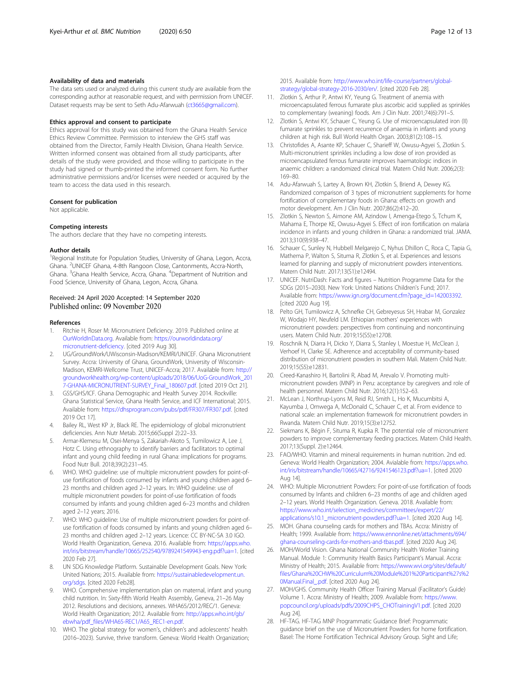# <span id="page-11-0"></span>Availability of data and materials

The data sets used or analyzed during this current study are available from the corresponding author at reasonable request, and with permission from UNICEF. Dataset requests may be sent to Seth Adu-Afarwuah [\(ct3665@gmail.com](mailto:ct3665@gmail.com)).

#### Ethics approval and consent to participate

Ethics approval for this study was obtained from the Ghana Health Service Ethics Review Committee. Permission to interview the GHS staff was obtained from the Director, Family Health Division, Ghana Health Service. Written informed consent was obtained from all study participants, after details of the study were provided, and those willing to participate in the study had signed or thumb-printed the informed consent form. No further administrative permissions and/or licenses were needed or acquired by the team to access the data used in this research.

#### Consent for publication

Not applicable.

#### Competing interests

The authors declare that they have no competing interests.

#### Author details

<sup>1</sup> Regional Institute for Population Studies, University of Ghana, Legon, Accra, Ghana. <sup>2</sup>UNICEF Ghana, 4-8th Rangoon Close, Cantonments, Accra-North, Ghana. <sup>3</sup>Ghana Health Service, Accra, Ghana. <sup>4</sup>Department of Nutrition and Food Science, University of Ghana, Legon, Accra, Ghana.

# Received: 24 April 2020 Accepted: 14 September 2020 Published online: 09 November 2020

#### References

- Ritchie H, Roser M: Micronutrient Deficiency. 2019. Published online at [OurWorldInData.org.](http://ourworldindata.org) Available from: [https://ourworldindata.org/](https://ourworldindata.org/micronutrient-deficiency) [micronutrient-deficiency](https://ourworldindata.org/micronutrient-deficiency). [cited 2019 Aug 30].
- 2. UG/GroundWork/UWisconsin-Madison/KEMRI/UNICEF. Ghana Micronutrient Survey. Accra: University of Ghana, GroundWork, University of Wisconsin-Madison, KEMRI-Wellcome Trust, UNICEF-Accra; 2017. Available from: [http://](http://groundworkhealth.org/wp-content/uploads/2018/06/UoG-GroundWork_2017-GHANA-MICRONUTRIENT-SURVEY_Final_180607.pdf) [groundworkhealth.org/wp-content/uploads/2018/06/UoG-GroundWork\\_201](http://groundworkhealth.org/wp-content/uploads/2018/06/UoG-GroundWork_2017-GHANA-MICRONUTRIENT-SURVEY_Final_180607.pdf) [7-GHANA-MICRONUTRIENT-SURVEY\\_Final\\_180607.pdf.](http://groundworkhealth.org/wp-content/uploads/2018/06/UoG-GroundWork_2017-GHANA-MICRONUTRIENT-SURVEY_Final_180607.pdf) [cited 2019 Oct 21].
- 3. GSS/GHS/ICF. Ghana Demographic and Health Survey 2014. Rockville: Ghana Statistical Service, Ghana Health Service, and ICF International; 2015. Available from: [https://dhsprogram.com/pubs/pdf/FR307/FR307.pdf.](https://dhsprogram.com/pubs/pdf/FR307/FR307.pdf) [cited 2019 Oct 17].
- 4. Bailey RL, West KP Jr, Black RE. The epidemiology of global micronutrient deficiencies. Ann Nutr Metab. 2015;66(Suppl 2):22–33.
- 5. Armar-Klemesu M, Osei-Menya S, Zakariah-Akoto S, Tumilowicz A, Lee J, Hotz C. Using ethnography to identify barriers and facilitators to optimal infant and young child feeding in rural Ghana: implications for programs. Food Nutr Bull. 2018;39(2):231–45.
- 6. WHO. WHO guideline: use of multiple micronutrient powders for point-ofuse fortification of foods consumed by infants and young children aged 6– 23 months and children aged 2–12 years. In: WHO guideline: use of multiple micronutrient powders for point-of-use fortification of foods consumed by infants and young children aged 6–23 months and children aged 2–12 years; 2016.
- 7. WHO: WHO guideline: Use of multiple micronutrient powders for point-ofuse fortification of foods consumed by infants and young children aged 6– 23 months and children aged 2–12 years. Licence: CC BY-NC-SA 3.0 IGO. World Health Organization, Geneva. 2016. Available from: [https://apps.who.](https://apps.who.int/iris/bitstream/handle/10665/252540/9789241549943-eng.pdf?ua=1) [int/iris/bitstream/handle/10665/252540/9789241549943-eng.pdf?ua=1.](https://apps.who.int/iris/bitstream/handle/10665/252540/9789241549943-eng.pdf?ua=1) [cited 2020 Feb 27].
- UN SDG Knowledge Platform. Sustainable Development Goals. New York: United Nations; 2015. Available from: [https://sustainabledevelopment.un.](https://sustainabledevelopment.un.org/sdgs) [org/sdgs.](https://sustainabledevelopment.un.org/sdgs) [cited 2020 Feb28].
- 9. WHO. Comprehensive implementation plan on maternal, infant and young child nutrition. In: Sixty-fifth World Health Assembly, Geneva, 21–26 May 2012. Resolutions and decisions, annexes. WHA65/2012/REC/1. Geneva: World Health Organization; 2012. Available from: [http://apps.who.int/gb/](http://apps.who.int/gb/ebwha/pdf_files/WHA65-REC1/A65_REC1-en.pdf) [ebwha/pdf\\_files/WHA65-REC1/A65\\_REC1-en.pdf.](http://apps.who.int/gb/ebwha/pdf_files/WHA65-REC1/A65_REC1-en.pdf)
- 10. WHO. The global strategy for women's, children's and adolescents' health (2016–2023). Survive, thrive transform. Geneva: World Health Organization;

2015. Available from: [http://www.who.int/life-course/partners/global](http://www.who.int/life-course/partners/global-strategy/global-strategy-2016-2030/en/)[strategy/global-strategy-2016-2030/en/.](http://www.who.int/life-course/partners/global-strategy/global-strategy-2016-2030/en/) [cited 2020 Feb 28].

- 11. Zlotkin S, Arthur P, Antwi KY, Yeung G. Treatment of anemia with microencapsulated ferrous fumarate plus ascorbic acid supplied as sprinkles to complementary (weaning) foods. Am J Clin Nutr. 2001;74(6):791–5.
- 12. Zlotkin S, Antwi KY, Schauer C, Yeung G. Use of microencapsulated iron (II) fumarate sprinkles to prevent recurrence of anaemia in infants and young children at high risk. Bull World Health Organ. 2003;81(2):108–15.
- 13. Christofides A, Asante KP, Schauer C, Sharieff W, Owusu-Agyei S, Zlotkin S, Multi-micronutrient sprinkles including a low dose of iron provided as microencapsulated ferrous fumarate improves haematologic indices in anaemic children: a randomized clinical trial. Matern Child Nutr. 2006;2(3): 169–80.
- 14. Adu-Afarwuah S, Lartey A, Brown KH, Zlotkin S, Briend A, Dewey KG. Randomized comparison of 3 types of micronutrient supplements for home fortification of complementary foods in Ghana: effects on growth and motor development. Am J Clin Nutr. 2007;86(2):412–20.
- 15. Zlotkin S, Newton S, Aimone AM, Azindow I, Amenga-Etego S, Tchum K, Mahama E, Thorpe KE, Owusu-Agyei S. Effect of iron fortification on malaria incidence in infants and young children in Ghana: a randomized trial. JAMA. 2013;310(9):938–47.
- 16. Schauer C, Sunley N, Hubbell Melgarejo C, Nyhus Dhillon C, Roca C, Tapia G, Mathema P, Walton S, Situma R, Zlotkin S, et al. Experiences and lessons learned for planning and supply of micronutrient powders interventions. Matern Child Nutr. 2017;13(S1):e12494.
- 17. UNICEF. NutriDash: Facts and figures Nutrition Programme Data for the SDGs (2015–2030). New York: United Nations Children's Fund; 2017. Available from: [https://www.ign.org/document.cfm?page\\_id=142003392](https://www.ign.org/document.cfm?page_id=142003392). [cited 2020 Aug 19].
- 18. Pelto GH, Tumilowicz A, Schnefke CH, Gebreyesus SH, Hrabar M, Gonzalez W, Wodajo HY, Neufeld LM. Ethiopian mothers' experiences with micronutrient powders: perspectives from continuing and noncontinuing users. Matern Child Nutr. 2019;15(S5):e12708.
- 19. Roschnik N, Diarra H, Dicko Y, Diarra S, Stanley I, Moestue H, McClean J, Verhoef H, Clarke SE. Adherence and acceptability of community-based distribution of micronutrient powders in southern Mali. Matern Child Nutr. 2019;15(S5):e12831.
- 20. Creed-Kanashiro H, Bartolini R, Abad M, Arevalo V. Promoting multimicronutrient powders (MNP) in Peru: acceptance by caregivers and role of health personnel. Matern Child Nutr. 2016;12(1):152–63.
- 21. McLean J, Northrup-Lyons M, Reid RJ, Smith L, Ho K, Mucumbitsi A, Kayumba J, Omwega A, McDonald C, Schauer C, et al. From evidence to national scale: an implementation framework for micronutrient powders in Rwanda. Matern Child Nutr. 2019;15(3):e12752.
- 22. Siekmans K, Bégin F, Situma R, Kupka R. The potential role of micronutrient powders to improve complementary feeding practices. Matern Child Health. 2017;13(Suppl. 2):e12464.
- 23. FAO/WHO. Vitamin and mineral requirements in human nutrition. 2nd ed. Geneva: World Health Organization; 2004. Avialable from: [https://apps.who.](https://apps.who.int/iris/bitstream/handle/10665/42716/9241546123.pdf?ua=1) [int/iris/bitstream/handle/10665/42716/9241546123.pdf?ua=1.](https://apps.who.int/iris/bitstream/handle/10665/42716/9241546123.pdf?ua=1) [cited 2020 Aug 14].
- 24. WHO: Multiple Micronutrient Powders: For point-of-use fortification of foods consumed by Infants and children 6–23 months of age and children aged 2–12 years. World Health Organization. Geneva. 2018. Available from: [https://www.who.int/selection\\_medicines/committees/expert/22/](https://www.who.int/selection_medicines/committees/expert/22/applications/s10.1_micronutrient-powders.pdf?ua=1) [applications/s10.1\\_micronutrient-powders.pdf?ua=1](https://www.who.int/selection_medicines/committees/expert/22/applications/s10.1_micronutrient-powders.pdf?ua=1). [cited 2020 Aug 14].
- 25. MOH. Ghana counseling cards for mothers and TBAs. Accra: Ministry of Health; 1999. Available from: [https://www.ennonline.net/attachments/694/](https://www.ennonline.net/attachments/694/ghana-counseling-cards-for-mothers-and-tbas.pdf) [ghana-counseling-cards-for-mothers-and-tbas.pdf.](https://www.ennonline.net/attachments/694/ghana-counseling-cards-for-mothers-and-tbas.pdf) [cited 2020 Aug 24].
- 26. MOH/World Vision. Ghana National Community Health Worker Training Manual. Module 1: Community Health Basics Participant's Manual. Accra: Ministry of Health; 2015. Available from: [https://www.wvi.org/sites/default/](https://www.wvi.org/sites/default/files/Ghana%20CHW%20Curriculum%20Module%201%20Participant%27s%20Manual.Final_.pdf) [files/Ghana%20CHW%20Curriculum%20Module%201%20Participant%27s%2](https://www.wvi.org/sites/default/files/Ghana%20CHW%20Curriculum%20Module%201%20Participant%27s%20Manual.Final_.pdf) [0Manual.Final\\_.pdf.](https://www.wvi.org/sites/default/files/Ghana%20CHW%20Curriculum%20Module%201%20Participant%27s%20Manual.Final_.pdf) [cited 2020 Aug 24].
- 27. MOH/GHS. Community Health Officer Training Manual (Facilitator's Guide) Volume 1. Accra: Ministry of Health; 2009. Available from: [https://www.](https://www.popcouncil.org/uploads/pdfs/2009CHPS_CHOTrainingV1.pdf) [popcouncil.org/uploads/pdfs/2009CHPS\\_CHOTrainingV1.pdf.](https://www.popcouncil.org/uploads/pdfs/2009CHPS_CHOTrainingV1.pdf) [cited 2020 Aug 24].
- 28. HF-TAG. HF-TAG MNP Programmatic Guidance Brief: Programmatic guidance brief on the use of Micronutrient Powders for home fortification. Basel: The Home Fortification Technical Advisory Group. Sight and Life;